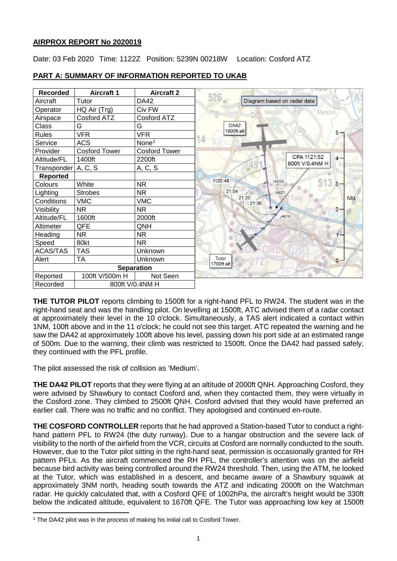# **AIRPROX REPORT No 2020019**

Date: 03 Feb 2020 Time: 1122Z Position: 5239N 00218W Location: Cosford ATZ



# **PART A: SUMMARY OF INFORMATION REPORTED TO UKAB**

**THE TUTOR PILOT** reports climbing to 1500ft for a right-hand PFL to RW24. The student was in the right-hand seat and was the handling pilot. On levelling at 1500ft, ATC advised them of a radar contact at approximately their level in the 10 o'clock. Simultaneously, a TAS alert indicated a contact within 1NM, 100ft above and in the 11 o'clock; he could not see this target. ATC repeated the warning and he saw the DA42 at approximately 100ft above his level, passing down his port side at an estimated range of 500m. Due to the warning, their climb was restricted to 1500ft. Once the DA42 had passed safely, they continued with the PFL profile.

The pilot assessed the risk of collision as 'Medium'.

**THE DA42 PILOT** reports that they were flying at an altitude of 2000ft QNH. Approaching Cosford, they were advised by Shawbury to contact Cosford and, when they contacted them, they were virtually in the Cosford zone. They climbed to 2500ft QNH. Cosford advised that they would have preferred an earlier call. There was no traffic and no conflict. They apologised and continued en-route.

**THE COSFORD CONTROLLER** reports that he had approved a Station-based Tutor to conduct a righthand pattern PFL to RW24 (the duty runway). Due to a hangar obstruction and the severe lack of visibility to the north of the airfield from the VCR, circuits at Cosford are normally conducted to the south. However, due to the Tutor pilot sitting in the right-hand seat, permission is occasionally granted for RH pattern PFLs. As the aircraft commenced the RH PFL, the controller's attention was on the airfield because bird activity was being controlled around the RW24 threshold. Then, using the ATM, he looked at the Tutor, which was established in a descent, and became aware of a Shawbury squawk at approximately 3NM north, heading south towards the ATZ and indicating 2000ft on the Watchman radar. He quickly calculated that, with a Cosford QFE of 1002hPa, the aircraft's height would be 330ft below the indicated altitude, equivalent to 1670ft QFE. The Tutor was approaching low key at 1500ft

<span id="page-0-0"></span>l <sup>1</sup> The DA42 pilot was in the process of making his initial call to Cosford Tower.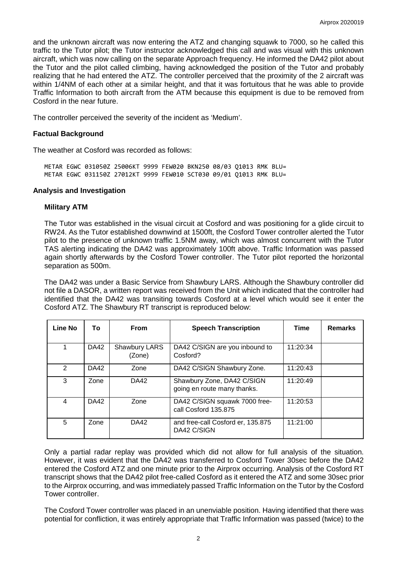and the unknown aircraft was now entering the ATZ and changing squawk to 7000, so he called this traffic to the Tutor pilot; the Tutor instructor acknowledged this call and was visual with this unknown aircraft, which was now calling on the separate Approach frequency. He informed the DA42 pilot about the Tutor and the pilot called climbing, having acknowledged the position of the Tutor and probably realizing that he had entered the ATZ. The controller perceived that the proximity of the 2 aircraft was within 1/4NM of each other at a similar height, and that it was fortuitous that he was able to provide Traffic Information to both aircraft from the ATM because this equipment is due to be removed from Cosford in the near future.

The controller perceived the severity of the incident as 'Medium'.

# **Factual Background**

The weather at Cosford was recorded as follows:

METAR EGWC 031050Z 25006KT 9999 FEW020 BKN250 08/03 Q1013 RMK BLU= METAR EGWC 031150Z 27012KT 9999 FEW010 SCT030 09/01 Q1013 RMK BLU=

## **Analysis and Investigation**

## **Military ATM**

The Tutor was established in the visual circuit at Cosford and was positioning for a glide circuit to RW24. As the Tutor established downwind at 1500ft, the Cosford Tower controller alerted the Tutor pilot to the presence of unknown traffic 1.5NM away, which was almost concurrent with the Tutor TAS alerting indicating the DA42 was approximately 100ft above. Traffic Information was passed again shortly afterwards by the Cosford Tower controller. The Tutor pilot reported the horizontal separation as 500m.

The DA42 was under a Basic Service from Shawbury LARS. Although the Shawbury controller did not file a DASOR, a written report was received from the Unit which indicated that the controller had identified that the DA42 was transiting towards Cosford at a level which would see it enter the Cosford ATZ. The Shawbury RT transcript is reproduced below:

| Line No | To          | <b>From</b>             | <b>Speech Transcription</b>                               | <b>Time</b> | <b>Remarks</b> |
|---------|-------------|-------------------------|-----------------------------------------------------------|-------------|----------------|
|         | DA42        | Shawbury LARS<br>(Zone) | DA42 C/SIGN are you inbound to<br>Cosford?                | 11:20:34    |                |
| 2       | <b>DA42</b> | Zone                    | DA42 C/SIGN Shawbury Zone.                                | 11:20:43    |                |
| 3       | Zone        | <b>DA42</b>             | Shawbury Zone, DA42 C/SIGN<br>going en route many thanks. | 11:20:49    |                |
| 4       | DA42        | Zone                    | DA42 C/SIGN squawk 7000 free-<br>call Cosford 135.875     | 11:20:53    |                |
| 5       | Zone        | DA42                    | and free-call Cosford er, 135.875<br>DA42 C/SIGN          | 11:21:00    |                |

Only a partial radar replay was provided which did not allow for full analysis of the situation. However, it was evident that the DA42 was transferred to Cosford Tower 30sec before the DA42 entered the Cosford ATZ and one minute prior to the Airprox occurring. Analysis of the Cosford RT transcript shows that the DA42 pilot free-called Cosford as it entered the ATZ and some 30sec prior to the Airprox occurring, and was immediately passed Traffic Information on the Tutor by the Cosford Tower controller.

The Cosford Tower controller was placed in an unenviable position. Having identified that there was potential for confliction, it was entirely appropriate that Traffic Information was passed (twice) to the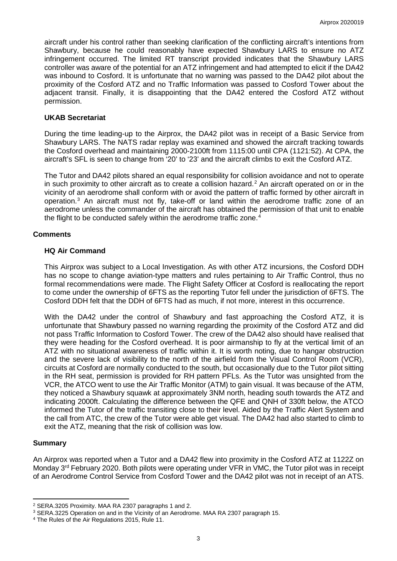aircraft under his control rather than seeking clarification of the conflicting aircraft's intentions from Shawbury, because he could reasonably have expected Shawbury LARS to ensure no ATZ infringement occurred. The limited RT transcript provided indicates that the Shawbury LARS controller was aware of the potential for an ATZ infringement and had attempted to elicit if the DA42 was inbound to Cosford. It is unfortunate that no warning was passed to the DA42 pilot about the proximity of the Cosford ATZ and no Traffic Information was passed to Cosford Tower about the adjacent transit. Finally, it is disappointing that the DA42 entered the Cosford ATZ without permission.

## **UKAB Secretariat**

During the time leading-up to the Airprox, the DA42 pilot was in receipt of a Basic Service from Shawbury LARS. The NATS radar replay was examined and showed the aircraft tracking towards the Cosford overhead and maintaining 2000-2100ft from 1115:00 until CPA (1121:52). At CPA, the aircraft's SFL is seen to change from '20' to '23' and the aircraft climbs to exit the Cosford ATZ.

The Tutor and DA42 pilots shared an equal responsibility for collision avoidance and not to operate in such proximity to other aircraft as to create a collision hazard. [2](#page-2-0) An aircraft operated on or in the vicinity of an aerodrome shall conform with or avoid the pattern of traffic formed by other aircraft in operation.<sup>[3](#page-2-1)</sup> An aircraft must not fly, take-off or land within the aerodrome traffic zone of an aerodrome unless the commander of the aircraft has obtained the permission of that unit to enable the flight to be conducted safely within the aerodrome traffic zone. [4](#page-2-2)

## **Comments**

## **HQ Air Command**

This Airprox was subject to a Local Investigation. As with other ATZ incursions, the Cosford DDH has no scope to change aviation-type matters and rules pertaining to Air Traffic Control, thus no formal recommendations were made. The Flight Safety Officer at Cosford is reallocating the report to come under the ownership of 6FTS as the reporting Tutor fell under the jurisdiction of 6FTS. The Cosford DDH felt that the DDH of 6FTS had as much, if not more, interest in this occurrence.

With the DA42 under the control of Shawbury and fast approaching the Cosford ATZ, it is unfortunate that Shawbury passed no warning regarding the proximity of the Cosford ATZ and did not pass Traffic Information to Cosford Tower. The crew of the DA42 also should have realised that they were heading for the Cosford overhead. It is poor airmanship to fly at the vertical limit of an ATZ with no situational awareness of traffic within it. It is worth noting, due to hangar obstruction and the severe lack of visibility to the north of the airfield from the Visual Control Room (VCR), circuits at Cosford are normally conducted to the south, but occasionally due to the Tutor pilot sitting in the RH seat, permission is provided for RH pattern PFLs. As the Tutor was unsighted from the VCR, the ATCO went to use the Air Traffic Monitor (ATM) to gain visual. It was because of the ATM, they noticed a Shawbury squawk at approximately 3NM north, heading south towards the ATZ and indicating 2000ft. Calculating the difference between the QFE and QNH of 330ft below, the ATCO informed the Tutor of the traffic transiting close to their level. Aided by the Traffic Alert System and the call from ATC, the crew of the Tutor were able get visual. The DA42 had also started to climb to exit the ATZ, meaning that the risk of collision was low.

# **Summary**

l

An Airprox was reported when a Tutor and a DA42 flew into proximity in the Cosford ATZ at 1122Z on Monday 3<sup>rd</sup> February 2020. Both pilots were operating under VFR in VMC, the Tutor pilot was in receipt of an Aerodrome Control Service from Cosford Tower and the DA42 pilot was not in receipt of an ATS.

<span id="page-2-0"></span><sup>2</sup> SERA.3205 Proximity. MAA RA 2307 paragraphs 1 and 2.

<span id="page-2-1"></span><sup>3</sup> SERA.3225 Operation on and in the Vicinity of an Aerodrome. MAA RA 2307 paragraph 15.

<span id="page-2-2"></span><sup>4</sup> The Rules of the Air Regulations 2015, Rule 11.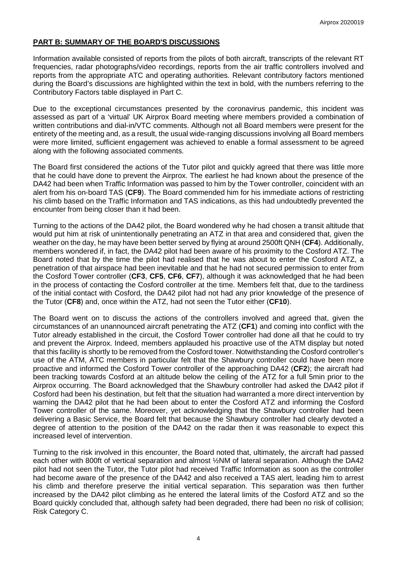# **PART B: SUMMARY OF THE BOARD'S DISCUSSIONS**

Information available consisted of reports from the pilots of both aircraft, transcripts of the relevant RT frequencies, radar photographs/video recordings, reports from the air traffic controllers involved and reports from the appropriate ATC and operating authorities. Relevant contributory factors mentioned during the Board's discussions are highlighted within the text in bold, with the numbers referring to the Contributory Factors table displayed in Part C.

Due to the exceptional circumstances presented by the coronavirus pandemic, this incident was assessed as part of a 'virtual' UK Airprox Board meeting where members provided a combination of written contributions and dial-in/VTC comments. Although not all Board members were present for the entirety of the meeting and, as a result, the usual wide-ranging discussions involving all Board members were more limited, sufficient engagement was achieved to enable a formal assessment to be agreed along with the following associated comments.

The Board first considered the actions of the Tutor pilot and quickly agreed that there was little more that he could have done to prevent the Airprox. The earliest he had known about the presence of the DA42 had been when Traffic Information was passed to him by the Tower controller, coincident with an alert from his on-board TAS (**CF9**). The Board commended him for his immediate actions of restricting his climb based on the Traffic Information and TAS indications, as this had undoubtedly prevented the encounter from being closer than it had been.

Turning to the actions of the DA42 pilot, the Board wondered why he had chosen a transit altitude that would put him at risk of unintentionally penetrating an ATZ in that area and considered that, given the weather on the day, he may have been better served by flying at around 2500ft QNH (**CF4**). Additionally, members wondered if, in fact, the DA42 pilot had been aware of his proximity to the Cosford ATZ. The Board noted that by the time the pilot had realised that he was about to enter the Cosford ATZ, a penetration of that airspace had been inevitable and that he had not secured permission to enter from the Cosford Tower controller (**CF3**, **CF5**, **CF6**, **CF7**), although it was acknowledged that he had been in the process of contacting the Cosford controller at the time. Members felt that, due to the tardiness of the initial contact with Cosford, the DA42 pilot had not had any prior knowledge of the presence of the Tutor (**CF8**) and, once within the ATZ, had not seen the Tutor either (**CF10**).

The Board went on to discuss the actions of the controllers involved and agreed that, given the circumstances of an unannounced aircraft penetrating the ATZ (**CF1**) and coming into conflict with the Tutor already established in the circuit, the Cosford Tower controller had done all that he could to try and prevent the Airprox. Indeed, members applauded his proactive use of the ATM display but noted that this facility is shortly to be removed from the Cosford tower. Notwithstanding the Cosford controller's use of the ATM, ATC members in particular felt that the Shawbury controller could have been more proactive and informed the Cosford Tower controller of the approaching DA42 (**CF2**); the aircraft had been tracking towards Cosford at an altitude below the ceiling of the ATZ for a full 5min prior to the Airprox occurring. The Board acknowledged that the Shawbury controller had asked the DA42 pilot if Cosford had been his destination, but felt that the situation had warranted a more direct intervention by warning the DA42 pilot that he had been about to enter the Cosford ATZ and informing the Cosford Tower controller of the same. Moreover, yet acknowledging that the Shawbury controller had been delivering a Basic Service, the Board felt that because the Shawbury controller had clearly devoted a degree of attention to the position of the DA42 on the radar then it was reasonable to expect this increased level of intervention.

Turning to the risk involved in this encounter, the Board noted that, ultimately, the aircraft had passed each other with 800ft of vertical separation and almost ½NM of lateral separation. Although the DA42 pilot had not seen the Tutor, the Tutor pilot had received Traffic Information as soon as the controller had become aware of the presence of the DA42 and also received a TAS alert, leading him to arrest his climb and therefore preserve the initial vertical separation. This separation was then further increased by the DA42 pilot climbing as he entered the lateral limits of the Cosford ATZ and so the Board quickly concluded that, although safety had been degraded, there had been no risk of collision; Risk Category C.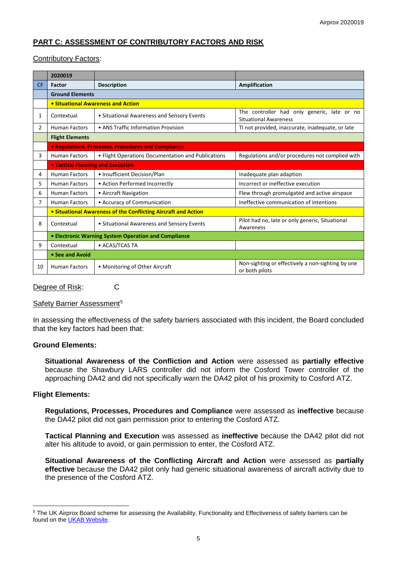# **PART C: ASSESSMENT OF CONTRIBUTORY FACTORS AND RISK**

## Contributory Factors:

|                | 2020019                                                        |                                                    |                                                                             |  |  |  |  |
|----------------|----------------------------------------------------------------|----------------------------------------------------|-----------------------------------------------------------------------------|--|--|--|--|
| <b>CF</b>      | <b>Factor</b>                                                  | <b>Description</b>                                 | Amplification                                                               |  |  |  |  |
|                | <b>Ground Elements</b>                                         |                                                    |                                                                             |  |  |  |  |
|                | • Situational Awareness and Action                             |                                                    |                                                                             |  |  |  |  |
| 1              | Contextual                                                     | • Situational Awareness and Sensory Events         | The controller had only generic, late or no<br><b>Situational Awareness</b> |  |  |  |  |
| 2              | <b>Human Factors</b>                                           | • ANS Traffic Information Provision                | TI not provided, inaccurate, inadequate, or late                            |  |  |  |  |
|                | <b>Flight Elements</b>                                         |                                                    |                                                                             |  |  |  |  |
|                | • Regulations, Processes, Procedures and Compliance            |                                                    |                                                                             |  |  |  |  |
| 3              | <b>Human Factors</b>                                           | • Flight Operations Documentation and Publications | Regulations and/or procedures not complied with                             |  |  |  |  |
|                | <b>. Tactical Planning and Execution</b>                       |                                                    |                                                                             |  |  |  |  |
| 4              | <b>Human Factors</b>                                           | • Insufficient Decision/Plan                       | Inadequate plan adaption                                                    |  |  |  |  |
| 5              | <b>Human Factors</b>                                           | • Action Performed Incorrectly                     | Incorrect or ineffective execution                                          |  |  |  |  |
| 6              | <b>Human Factors</b>                                           | • Aircraft Navigation                              | Flew through promulgated and active airspace                                |  |  |  |  |
| $\overline{7}$ | <b>Human Factors</b>                                           | • Accuracy of Communication                        | Ineffective communication of intentions                                     |  |  |  |  |
|                | • Situational Awareness of the Conflicting Aircraft and Action |                                                    |                                                                             |  |  |  |  |
| 8              | Contextual                                                     | • Situational Awareness and Sensory Events         | Pilot had no, late or only generic, Situational<br>Awareness                |  |  |  |  |
|                | • Electronic Warning System Operation and Compliance           |                                                    |                                                                             |  |  |  |  |
| 9              | Contextual                                                     | • ACAS/TCAS TA                                     |                                                                             |  |  |  |  |
|                | • See and Avoid                                                |                                                    |                                                                             |  |  |  |  |
| 10             | <b>Human Factors</b>                                           | • Monitoring of Other Aircraft                     | Non-sighting or effectively a non-sighting by one<br>or both pilots         |  |  |  |  |

#### Degree of Risk: C

### Safety Barrier Assessment<sup>[5](#page-4-0)</sup>

In assessing the effectiveness of the safety barriers associated with this incident, the Board concluded that the key factors had been that:

#### **Ground Elements:**

**Situational Awareness of the Confliction and Action** were assessed as **partially effective** because the Shawbury LARS controller did not inform the Cosford Tower controller of the approaching DA42 and did not specifically warn the DA42 pilot of his proximity to Cosford ATZ.

# **Flight Elements:**

 $\overline{\phantom{a}}$ 

**Regulations, Processes, Procedures and Compliance** were assessed as **ineffective** because the DA42 pilot did not gain permission prior to entering the Cosford ATZ.

**Tactical Planning and Execution** was assessed as **ineffective** because the DA42 pilot did not alter his altitude to avoid, or gain permission to enter, the Cosford ATZ.

**Situational Awareness of the Conflicting Aircraft and Action** were assessed as **partially effective** because the DA42 pilot only had generic situational awareness of aircraft activity due to the presence of the Cosford ATZ.

<span id="page-4-0"></span><sup>&</sup>lt;sup>5</sup> The UK Airprox Board scheme for assessing the Availability, Functionality and Effectiveness of safety barriers can be found on the [UKAB Website.](http://www.airproxboard.org.uk/Learn-more/Airprox-Barrier-Assessment/)